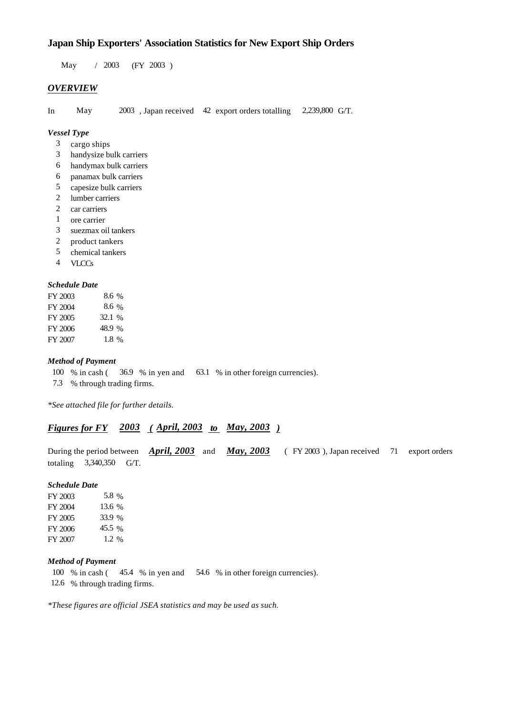# **Japan Ship Exporters' Association Statistics for New Export Ship Orders**

 $/ 2003$  (FY 2003) May 2003

## *OVERVIEW*

In May  $2003$ , Japan received 42 export orders totalling 2,239,800 G/T.

## *Vessel Type*

- cargo ships 3
- handysize bulk carriers 3
- handymax bulk carriers 6
- panamax bulk carriers 6
- capesize bulk carriers 5
- lumber carriers 2
- 2 car carriers
- ore carrier 1
- suezmax oil tankers 3
- product tankers 2
- chemical tankers 5
- VLCCs 4

#### *Schedule Date*

| FY 2003 | $8.6\%$ |
|---------|---------|
| FY 2004 | $8.6\%$ |
| FY 2005 | 32.1 %  |
| FY 2006 | 48.9 %  |
| FY 2007 | $1.8\%$ |

#### *Method of Payment*

- % in cash ( $\frac{36.9}{8}$  % in yen and  $\frac{63.1}{8}$  % in other foreign currencies). 100 % in cash (
- % through trading firms. 7.3

*\*See attached file for further details.*

## *Figures for FY* 2003 (*April, 2003 to May, 2003*)

During the period between *April, 2003* and *May, 2003* (FY 2003), Japan received 71 export orders totaling  $3,340,350$  G/T.  $($  FY 2003), Japan received  $71$  export orders

#### *Schedule Date*

FY 2003 FY 2004 FY 2005 FY 2006 FY 2007 13.6 % 33.9 % 45.5 % 1.2 5.8 %

### *Method of Payment*

100 % in cash (45.4 % in yen and 54.6 % in other foreign currencies).

% through trading firms. 12.6

*\*These figures are official JSEA statistics and may be used as such.*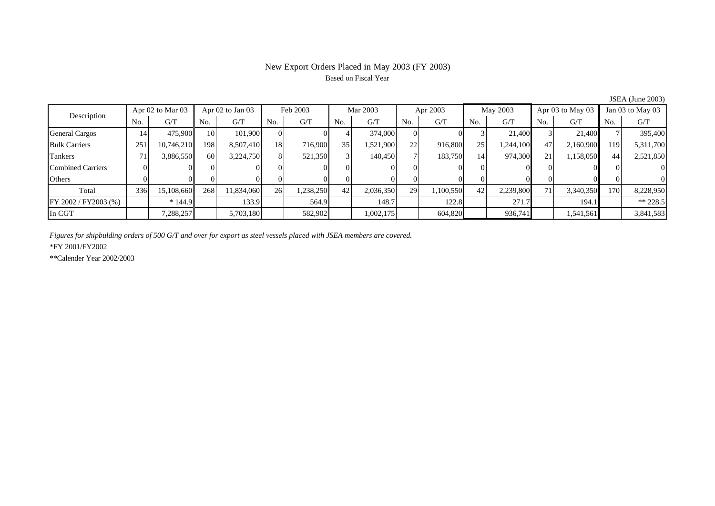# New Export Orders Placed in May 2003 (FY 2003) Based on Fiscal Year

| Description              |                | Apr $02$ to Mar $03$ |     | Apr 02 to Jan 03 |          | Feb 2003 |     | Mar 2003  |     | Apr 2003 |                 | May 2003  |     | Apr 03 to May 03 |     | Jan 03 to May 03 |  |
|--------------------------|----------------|----------------------|-----|------------------|----------|----------|-----|-----------|-----|----------|-----------------|-----------|-----|------------------|-----|------------------|--|
|                          | N <sub>o</sub> | G/T                  | No. | G/T              | No.      | G/T      | No. | G/T       | No. | G/T      | N <sub>o</sub>  | G/T       | No. | G/T              | No. | G/T              |  |
| <b>General Cargos</b>    | 14             | 475,900              | 10  | 101.900          | ΩI       |          |     | 374,000   |     |          |                 | 21,400    |     | 21.400           |     | 395,400          |  |
| <b>Bulk Carriers</b>     | 251            | 10,746,210           | 198 | 8,507,410        | 18       | 716.900  | 35  | 1,521,900 | 22  | 916,800  | 25              | 1,244,100 | 47  | 2,160,900        | 119 | 5,311,700        |  |
| Tankers                  |                | 3,886,550            | 60  | 3,224,750        | 8        | 521,350  |     | 140,450   |     | 183,750  | 14              | 974,300   | 21  | 1,158,050        | 44  | 2,521,850        |  |
| <b>Combined Carriers</b> |                |                      |     |                  | $\Omega$ |          |     |           |     |          |                 |           |     |                  |     |                  |  |
| Others                   |                |                      |     |                  |          |          |     |           |     |          |                 |           |     |                  |     |                  |  |
| Total                    | 336            | 15,108,660           | 268 | 11,834,060       | 26       | .238,250 | 42  | 2,036,350 | 29  | .100,550 | 42 <sup>1</sup> | 2,239,800 | 71  | 3,340,350        | 170 | 8,228,950        |  |
| FY 2002 / FY2003 (%)     |                | $*144.9$             |     | 133.9            |          | 564.9    |     | 148.7     |     | 122.8    |                 | 271.7     |     | 194.1            |     | $** 228.5$       |  |
| In CGT                   |                | 7,288,257            |     | 5,703,180        |          | 582,902  |     | 1,002,175 |     | 604,820  |                 | 936,741   |     | 1,541,561        |     | 3,841,583        |  |

JSEA (June 2003)

*Figures for shipbulding orders of 500 G/T and over for export as steel vessels placed with JSEA members are covered.*

\*FY 2001/FY2002

\*\*Calender Year 2002/2003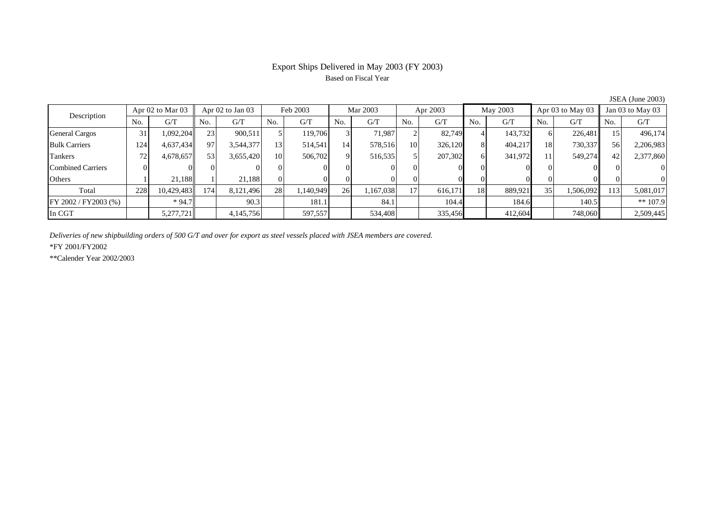# Export Ships Delivered in May 2003 (FY 2003) Based on Fiscal Year

|                          |                      |            |                  |           |                 |           |          |           |          |         |          |         |                      |           |                  | $50.111$ , $50.110$ $\pm 0.05$ , |
|--------------------------|----------------------|------------|------------------|-----------|-----------------|-----------|----------|-----------|----------|---------|----------|---------|----------------------|-----------|------------------|----------------------------------|
| Description              | Apr $02$ to Mar $03$ |            | Apr 02 to Jan 03 |           | Feb 2003        |           | Mar 2003 |           | Apr 2003 |         | May 2003 |         | Apr $03$ to May $03$ |           | Jan 03 to May 03 |                                  |
|                          | No.                  | G/T        | No.              | G/T       | No.             | G/T       | No.      | G/T       | No.      | G/T     | No.      | G/T     | N <sub>o</sub>       | G/T       | No.              | G/T                              |
| <b>General Cargos</b>    | 31                   | 1,092,204  | 23               | 900.511   |                 | 119.706   |          | 71.987    |          | 82,749  |          | 143,732 | 61                   | 226,481   | 15               | 496,174                          |
| <b>Bulk Carriers</b>     | 124                  | 4,637,434  | 97               | 3,544,377 | 13 <sub>1</sub> | 514,541   | 14       | 578,516   | 10       | 326,120 |          | 404,217 | 18                   | 730,337   | 56               | 2,206,983                        |
| Tankers                  | 72                   | 4,678,657  | 53               | 3,655,420 | 10              | 506,702   | $\Omega$ | 516,535   |          | 207,302 | 61       | 341,972 | 11                   | 549,274   | 42               | 2,377,860                        |
| <b>Combined Carriers</b> |                      |            |                  |           |                 |           |          |           |          |         |          |         |                      |           |                  | $\Omega$                         |
| Others                   |                      | 21,188     |                  | 21.188    | ΩI              |           |          |           |          |         |          |         |                      |           |                  | $\Omega$                         |
| Total                    | 228                  | 10,429,483 | 174.             | 8.121.496 | 28              | 1,140,949 | 26       | 1,167,038 | 17       | 616,171 | 18       | 889,921 | 35 <sub>1</sub>      | 1,506,092 | 113              | 5,081,017                        |
| FY 2002 / FY2003 (%)     |                      | $*94.7$    |                  | 90.3      |                 | 181.1     |          | 84.1      |          | 104.4   |          | 184.6   |                      | 140.5     |                  | $** 107.9$                       |
| In CGT                   |                      | 5,277,721  |                  | 4,145,756 |                 | 597,557   |          | 534,408   |          | 335,456 |          | 412,604 |                      | 748,060   |                  | 2,509,445                        |

JSEA (June 2003)

*Deliveries of new shipbuilding orders of 500 G/T and over for export as steel vessels placed with JSEA members are covered.*

\*FY 2001/FY2002

\*\*Calender Year 2002/2003